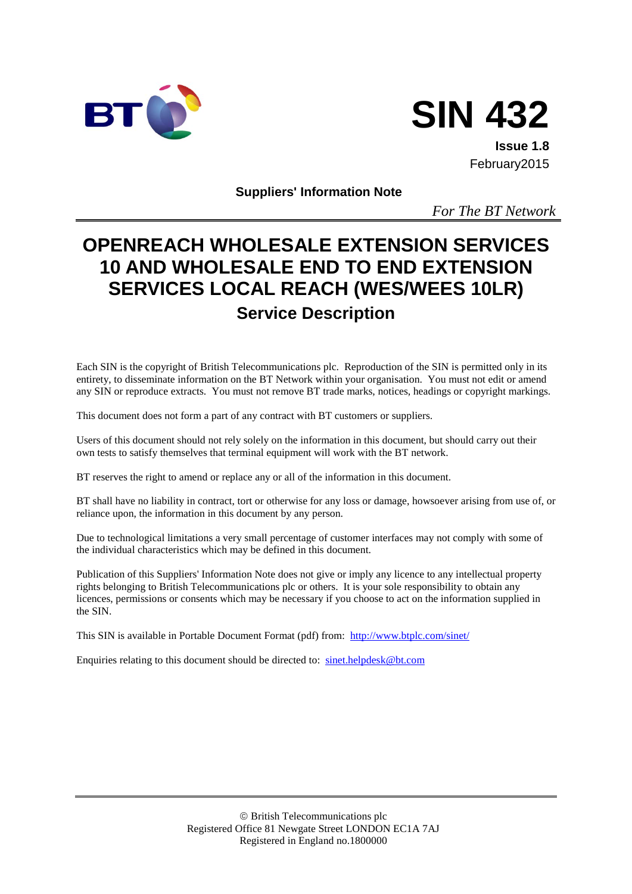



**Issue 1.8** February2015

**Suppliers' Information Note**

*For The BT Network*

# **OPENREACH WHOLESALE EXTENSION SERVICES 10 AND WHOLESALE END TO END EXTENSION SERVICES LOCAL REACH (WES/WEES 10LR) Service Description**

Each SIN is the copyright of British Telecommunications plc. Reproduction of the SIN is permitted only in its entirety, to disseminate information on the BT Network within your organisation. You must not edit or amend any SIN or reproduce extracts. You must not remove BT trade marks, notices, headings or copyright markings.

This document does not form a part of any contract with BT customers or suppliers.

Users of this document should not rely solely on the information in this document, but should carry out their own tests to satisfy themselves that terminal equipment will work with the BT network.

BT reserves the right to amend or replace any or all of the information in this document.

BT shall have no liability in contract, tort or otherwise for any loss or damage, howsoever arising from use of, or reliance upon, the information in this document by any person.

Due to technological limitations a very small percentage of customer interfaces may not comply with some of the individual characteristics which may be defined in this document.

Publication of this Suppliers' Information Note does not give or imply any licence to any intellectual property rights belonging to British Telecommunications plc or others. It is your sole responsibility to obtain any licences, permissions or consents which may be necessary if you choose to act on the information supplied in the SIN.

This SIN is available in Portable Document Format (pdf) from: <http://www.btplc.com/sinet/>

Enquiries relating to this document should be directed to: [sinet.helpdesk@bt.com](mailto:sinet.helpdesk@bt.com)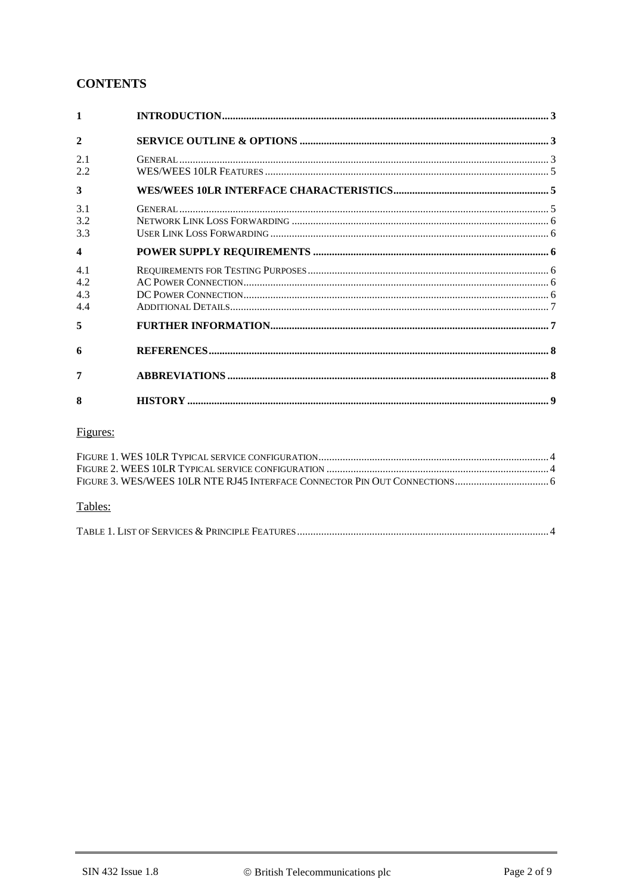## **CONTENTS**

| $\mathbf{2}$     |  |
|------------------|--|
| 2.1              |  |
| 2.2              |  |
| 3                |  |
| 3.1              |  |
| 3.2              |  |
| 3.3              |  |
| $\boldsymbol{4}$ |  |
| 4.1              |  |
| 4.2              |  |
| 4.3              |  |
| 4.4              |  |
| 5                |  |
| 6                |  |
| 7                |  |
| 8                |  |

# Figures:

| Tables: |  |
|---------|--|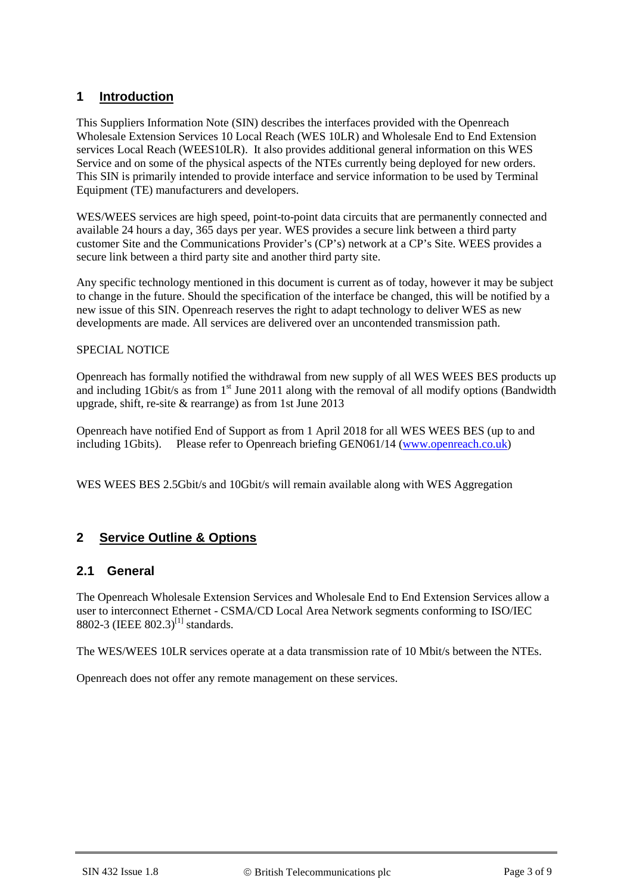## **1 Introduction**

This Suppliers Information Note (SIN) describes the interfaces provided with the Openreach Wholesale Extension Services 10 Local Reach (WES 10LR) and Wholesale End to End Extension services Local Reach (WEES10LR). It also provides additional general information on this WES Service and on some of the physical aspects of the NTEs currently being deployed for new orders. This SIN is primarily intended to provide interface and service information to be used by Terminal Equipment (TE) manufacturers and developers.

WES/WEES services are high speed, point-to-point data circuits that are permanently connected and available 24 hours a day, 365 days per year. WES provides a secure link between a third party customer Site and the Communications Provider's (CP's) network at a CP's Site. WEES provides a secure link between a third party site and another third party site.

Any specific technology mentioned in this document is current as of today, however it may be subject to change in the future. Should the specification of the interface be changed, this will be notified by a new issue of this SIN. Openreach reserves the right to adapt technology to deliver WES as new developments are made. All services are delivered over an uncontended transmission path.

#### SPECIAL NOTICE

Openreach has formally notified the withdrawal from new supply of all WES WEES BES products up and including 1Gbit/s as from  $1<sup>st</sup>$  June 2011 along with the removal of all modify options (Bandwidth upgrade, shift, re-site & rearrange) as from 1st June 2013

Openreach have notified End of Support as from 1 April 2018 for all WES WEES BES (up to and including 1Gbits). Please refer to Openreach briefing GEN061/14 [\(www.openreach.co.uk\)](http://www.openreach.co.uk/)

WES WEES BES 2.5Gbit/s and 10Gbit/s will remain available along with WES Aggregation

## **2 Service Outline & Options**

#### **2.1 General**

The Openreach Wholesale Extension Services and Wholesale End to End Extension Services allow a user to interconnect Ethernet - CSMA/CD Local Area Network segments conforming to ISO/IEC 8802-3 (IEEE 802.3)<sup>[\[1\]](#page-7-0)</sup> standards.

The WES/WEES 10LR services operate at a data transmission rate of 10 Mbit/s between the NTEs.

Openreach does not offer any remote management on these services.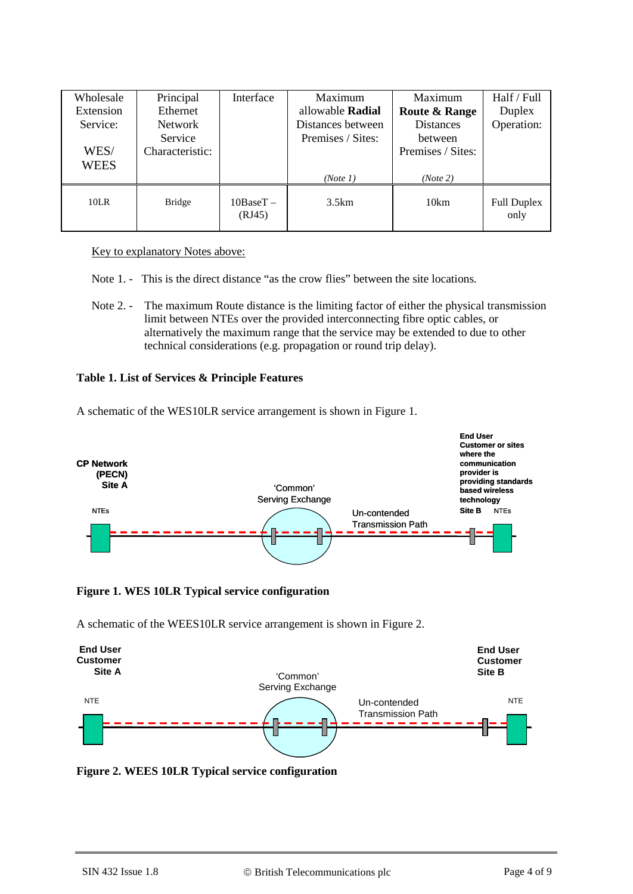| Wholesale<br>Extension<br>Service:<br>WES/<br><b>WEES</b> | Principal<br>Ethernet<br><b>Network</b><br>Service<br>Characteristic: | Interface             | Maximum<br>allowable <b>Radial</b><br>Distances between<br>Premises / Sites:<br>(Note 1) | Maximum<br><b>Route &amp; Range</b><br><b>Distances</b><br>between<br>Premises / Sites:<br>(Note 2) | Half / Full<br>Duplex<br>Operation: |
|-----------------------------------------------------------|-----------------------------------------------------------------------|-----------------------|------------------------------------------------------------------------------------------|-----------------------------------------------------------------------------------------------------|-------------------------------------|
| 10LR                                                      | <b>Bridge</b>                                                         | $10BaseT -$<br>(RJ45) | 3.5km                                                                                    | 10km                                                                                                | <b>Full Duplex</b><br>only          |

#### Key to explanatory Notes above:

- Note 1. This is the direct distance "as the crow flies" between the site locations.
- Note 2. The maximum Route distance is the limiting factor of either the physical transmission limit between NTEs over the provided interconnecting fibre optic cables, or alternatively the maximum range that the service may be extended to due to other technical considerations (e.g. propagation or round trip delay).

#### **Table 1. List of Services & Principle Features**

A schematic of the WES10LR service arrangement is shown in [Figure 1.](#page-3-0)



<span id="page-3-0"></span>**Figure 1. WES 10LR Typical service configuration**

A schematic of the WEES10LR service arrangement is shown in Figure 2.



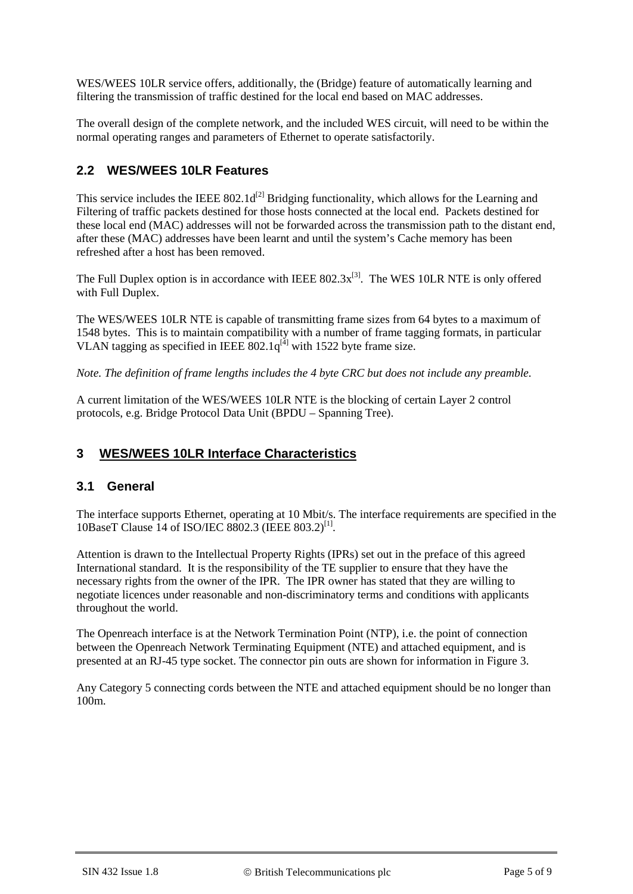WES/WEES 10LR service offers, additionally, the (Bridge) feature of automatically learning and filtering the transmission of traffic destined for the local end based on MAC addresses.

The overall design of the complete network, and the included WES circuit, will need to be within the normal operating ranges and parameters of Ethernet to operate satisfactorily.

## **2.2 WES/WEES 10LR Features**

This service includes the IEEE  $802.1d^{[2]}$  Bridging functionality, which allows for the Learning and Filtering of traffic packets destined for those hosts connected at the local end. Packets destined for these local end (MAC) addresses will not be forwarded across the transmission path to the distant end, after these (MAC) addresses have been learnt and until the system's Cache memory has been refreshed after a host has been removed.

The Full Duplex option is in accordance with IEEE  $802.3x^{[3]}$ . The WES 10LR NTE is only offered with Full Duplex.

The WES/WEES 10LR NTE is capable of transmitting frame sizes from 64 bytes to a maximum of 1548 bytes. This is to maintain compatibility with a number of frame tagging formats, in particular VLAN tagging as specified in IEEE  $802.1q^{[4]}$  with 1522 byte frame size.

*Note. The definition of frame lengths includes the 4 byte CRC but does not include any preamble.*

A current limitation of the WES/WEES 10LR NTE is the blocking of certain Layer 2 control protocols, e.g. Bridge Protocol Data Unit (BPDU – Spanning Tree).

#### **3 WES/WEES 10LR Interface Characteristics**

#### **3.1 General**

The interface supports Ethernet, operating at 10 Mbit/s. The interface requirements are specified in the 10BaseT Clause 14 of ISO/IEC 8802.3 (IEEE 803.2)<sup>[1]</sup>.

Attention is drawn to the Intellectual Property Rights (IPRs) set out in the preface of this agreed International standard. It is the responsibility of the TE supplier to ensure that they have the necessary rights from the owner of the IPR. The IPR owner has stated that they are willing to negotiate licences under reasonable and non-discriminatory terms and conditions with applicants throughout the world.

The Openreach interface is at the Network Termination Point (NTP), i.e. the point of connection between the Openreach Network Terminating Equipment (NTE) and attached equipment, and is presented at an RJ-45 type socket. The connector pin outs are shown for information in [Figure 3.](#page-5-0)

Any Category 5 connecting cords between the NTE and attached equipment should be no longer than 100m.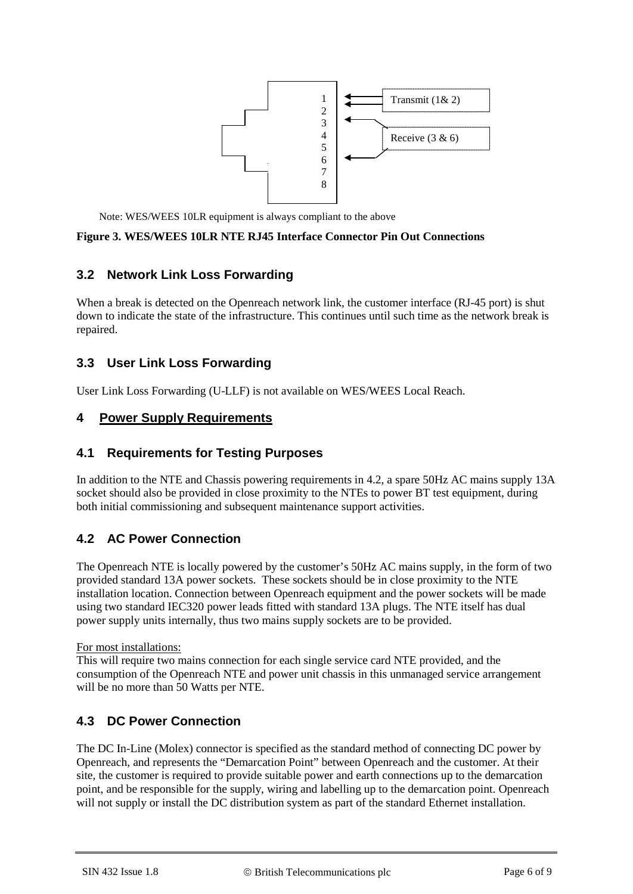

Note: WES/WEES 10LR equipment is always compliant to the above

#### <span id="page-5-0"></span>**Figure 3. WES/WEES 10LR NTE RJ45 Interface Connector Pin Out Connections**

## **3.2 Network Link Loss Forwarding**

When a break is detected on the Openreach network link, the customer interface (RJ-45 port) is shut down to indicate the state of the infrastructure. This continues until such time as the network break is repaired.

## **3.3 User Link Loss Forwarding**

User Link Loss Forwarding (U-LLF) is not available on WES/WEES Local Reach.

#### **4 Power Supply Requirements**

#### **4.1 Requirements for Testing Purposes**

In addition to the NTE and Chassis powering requirements in [4.2,](#page-5-1) a spare 50Hz AC mains supply 13A socket should also be provided in close proximity to the NTEs to power BT test equipment, during both initial commissioning and subsequent maintenance support activities.

## <span id="page-5-1"></span>**4.2 AC Power Connection**

The Openreach NTE is locally powered by the customer's 50Hz AC mains supply, in the form of two provided standard 13A power sockets. These sockets should be in close proximity to the NTE installation location. Connection between Openreach equipment and the power sockets will be made using two standard IEC320 power leads fitted with standard 13A plugs. The NTE itself has dual power supply units internally, thus two mains supply sockets are to be provided.

For most installations:

This will require two mains connection for each single service card NTE provided, and the consumption of the Openreach NTE and power unit chassis in this unmanaged service arrangement will be no more than 50 Watts per NTE.

## **4.3 DC Power Connection**

The DC In-Line (Molex) connector is specified as the standard method of connecting DC power by Openreach, and represents the "Demarcation Point" between Openreach and the customer. At their site, the customer is required to provide suitable power and earth connections up to the demarcation point, and be responsible for the supply, wiring and labelling up to the demarcation point. Openreach will not supply or install the DC distribution system as part of the standard Ethernet installation.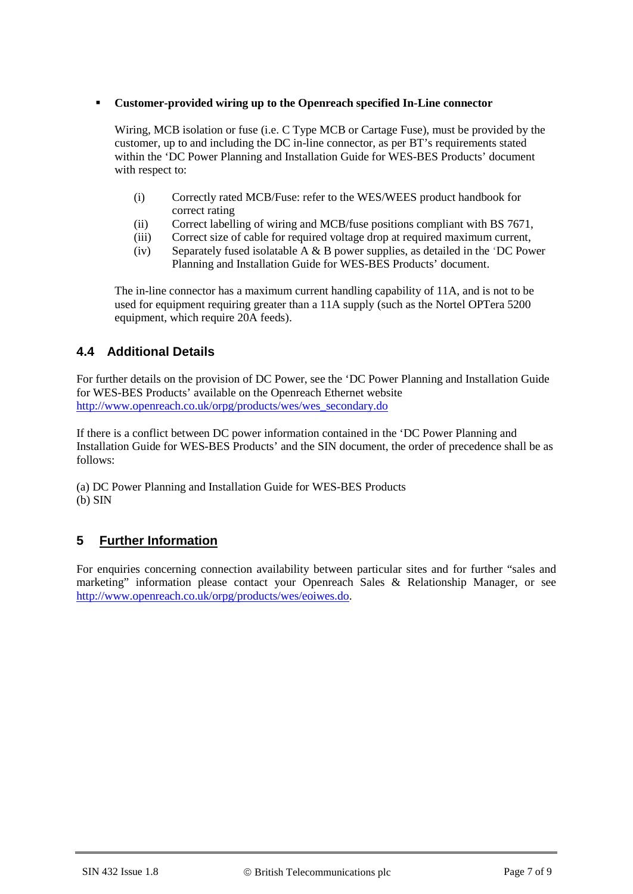#### **Customer-provided wiring up to the Openreach specified In-Line connector**

Wiring, MCB isolation or fuse (i.e. C Type MCB or Cartage Fuse), must be provided by the customer, up to and including the DC in-line connector, as per BT's requirements stated within the 'DC Power Planning and Installation Guide for WES-BES Products' document with respect to:

- (i) Correctly rated MCB/Fuse: refer to the WES/WEES product handbook for correct rating
- (ii) Correct labelling of wiring and MCB/fuse positions compliant with BS 7671,
- (iii) Correct size of cable for required voltage drop at required maximum current,
- (iv) Separately fused isolatable  $A \& B$  power supplies, as detailed in the 'DC Power Planning and Installation Guide for WES-BES Products' document.

The in-line connector has a maximum current handling capability of 11A, and is not to be used for equipment requiring greater than a 11A supply (such as the Nortel OPTera 5200 equipment, which require 20A feeds).

#### **4.4 Additional Details**

For further details on the provision of DC Power, see the 'DC Power Planning and Installation Guide for WES-BES Products' available on the Openreach Ethernet website [http://www.openreach.co.uk/orpg/products/wes/wes\\_secondary.do](http://www.openreach.co.uk/orpg/products/wes/wes_secondary.do)

If there is a conflict between DC power information contained in the 'DC Power Planning and Installation Guide for WES-BES Products' and the SIN document, the order of precedence shall be as follows:

(a) DC Power Planning and Installation Guide for WES-BES Products (b) SIN

## **5 Further Information**

For enquiries concerning connection availability between particular sites and for further "sales and marketing" information please contact your Openreach Sales & Relationship Manager, or see [http://www.openreach.co.uk/orpg/products/wes/eoiwes.do.](http://www.openreach.co.uk/orpg/products/wes/eoiwes.do)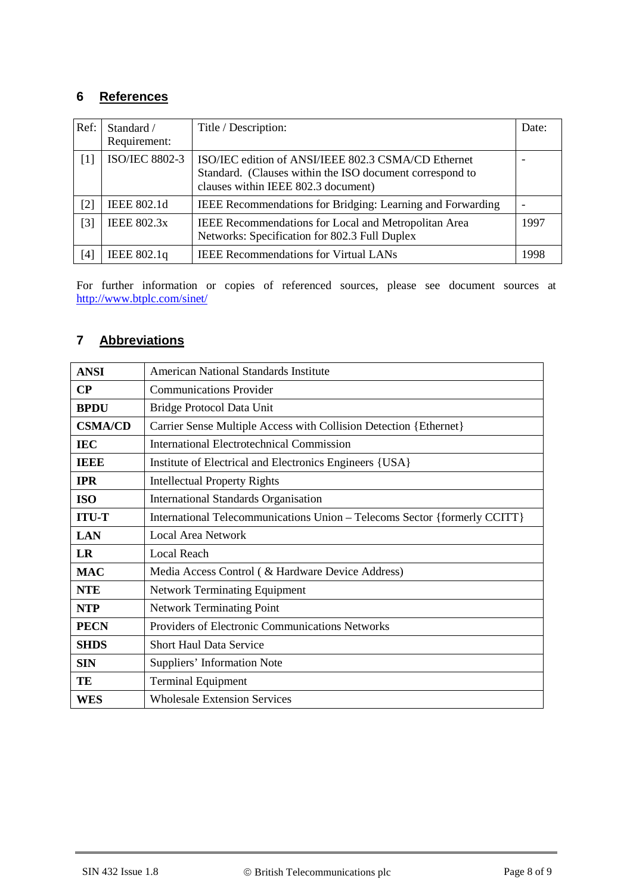## **6 References**

<span id="page-7-1"></span><span id="page-7-0"></span>

| Ref:  | Standard /<br>Requirement: | Title / Description:                                                                                                                                   | Date: |
|-------|----------------------------|--------------------------------------------------------------------------------------------------------------------------------------------------------|-------|
| [1]   | <b>ISO/IEC 8802-3</b>      | ISO/IEC edition of ANSI/IEEE 802.3 CSMA/CD Ethernet<br>Standard. (Clauses within the ISO document correspond to<br>clauses within IEEE 802.3 document) |       |
| $[2]$ | IEEE 802.1d                | IEEE Recommendations for Bridging: Learning and Forwarding                                                                                             |       |
| $[3]$ | <b>IEEE 802.3x</b>         | IEEE Recommendations for Local and Metropolitan Area<br>Networks: Specification for 802.3 Full Duplex                                                  | 1997  |
| [4]   | IEEE 802.1q                | <b>IEEE Recommendations for Virtual LANs</b>                                                                                                           | 1998  |

<span id="page-7-3"></span><span id="page-7-2"></span>For further information or copies of referenced sources, please see document sources at <http://www.btplc.com/sinet/>

# **7 Abbreviations**

| <b>ANSI</b>    | <b>American National Standards Institute</b>                              |  |
|----------------|---------------------------------------------------------------------------|--|
| $\bf CP$       | <b>Communications Provider</b>                                            |  |
| <b>BPDU</b>    | Bridge Protocol Data Unit                                                 |  |
| <b>CSMA/CD</b> | Carrier Sense Multiple Access with Collision Detection { Ethernet }       |  |
| <b>IEC</b>     | <b>International Electrotechnical Commission</b>                          |  |
| <b>IEEE</b>    | Institute of Electrical and Electronics Engineers {USA}                   |  |
| <b>IPR</b>     | <b>Intellectual Property Rights</b>                                       |  |
| <b>ISO</b>     | <b>International Standards Organisation</b>                               |  |
| <b>ITU-T</b>   | International Telecommunications Union - Telecoms Sector {formerly CCITT} |  |
| <b>LAN</b>     | Local Area Network                                                        |  |
| LR             | <b>Local Reach</b>                                                        |  |
| <b>MAC</b>     | Media Access Control (& Hardware Device Address)                          |  |
| <b>NTE</b>     | <b>Network Terminating Equipment</b>                                      |  |
| <b>NTP</b>     | <b>Network Terminating Point</b>                                          |  |
| <b>PECN</b>    | Providers of Electronic Communications Networks                           |  |
| <b>SHDS</b>    | <b>Short Haul Data Service</b>                                            |  |
| <b>SIN</b>     | Suppliers' Information Note                                               |  |
| TE             | <b>Terminal Equipment</b>                                                 |  |
| <b>WES</b>     | <b>Wholesale Extension Services</b>                                       |  |